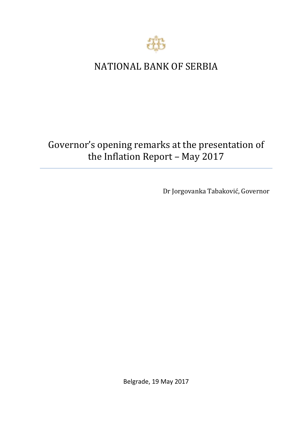

## NATIONAL BANK OF SERBIA

# Governor's opening remarks at the presentation of the Inflation Report *–* May 2017

Dr Jorgovanka Tabaković, Governor

Belgrade, 19 May 2017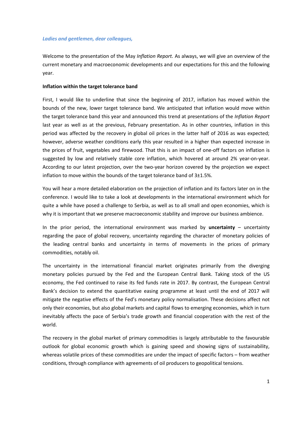#### *Ladies and gentlemen, dear colleagues,*

Welcome to the presentation of the May *Inflation Report.* As always, we will give an overview of the current monetary and macroeconomic developments and our expectations for this and the following year.

#### **Inflation within the target tolerance band**

First, I would like to underline that since the beginning of 2017, inflation has moved within the bounds of the new, lower target tolerance band. We anticipated that inflation would move within the target tolerance band this year and announced this trend at presentations of the *Inflation Report* last year as well as at the previous, February presentation. As in other countries, inflation in this period was affected by the recovery in global oil prices in the latter half of 2016 as was expected; however, adverse weather conditions early this year resulted in a higher than expected increase in the prices of fruit, vegetables and firewood. That this is an impact of one-off factors on inflation is suggested by low and relatively stable core inflation, which hovered at around 2% year-on-year. According to our latest projection, over the two-year horizon covered by the projection we expect inflation to move within the bounds of the target tolerance band of 3±1.5%.

You will hear a more detailed elaboration on the projection of inflation and its factors later on in the conference. I would like to take a look at developments in the international environment which for quite a while have posed a challenge to Serbia, as well as to all small and open economies, which is why it is important that we preserve macroeconomic stability and improve our business ambience.

In the prior period, the international environment was marked by **uncertainty** – uncertainty regarding the pace of global recovery, uncertainty regarding the character of monetary policies of the leading central banks and uncertainty in terms of movements in the prices of primary commodities, notably oil.

The uncertainty in the international financial market originates primarily from the diverging monetary policies pursued by the Fed and the European Central Bank. Taking stock of the US economy, the Fed continued to raise its fed funds rate in 2017. By contrast, the European Central Bank's decision to extend the quantitative easing programme at least until the end of 2017 will mitigate the negative effects of the Fed's monetary policy normalisation. These decisions affect not only their economies, but also global markets and capital flows to emerging economies, which in turn inevitably affects the pace of Serbia's trade growth and financial cooperation with the rest of the world.

The recovery in the global market of primary commodities is largely attributable to the favourable outlook for global economic growth which is gaining speed and showing signs of sustainability, whereas volatile prices of these commodities are under the impact of specific factors – from weather conditions, through compliance with agreements of oil producers to geopolitical tensions.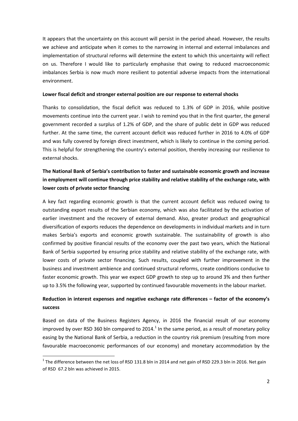It appears that the uncertainty on this account will persist in the period ahead. However, the results we achieve and anticipate when it comes to the narrowing in internal and external imbalances and implementation of structural reforms will determine the extent to which this uncertainty will reflect on us. Therefore I would like to particularly emphasise that owing to reduced macroeconomic imbalances Serbia is now much more resilient to potential adverse impacts from the international environment.

#### **Lower fiscal deficit and stronger external position are our response to external shocks**

Thanks to consolidation, the fiscal deficit was reduced to 1.3% of GDP in 2016, while positive movements continue into the current year. I wish to remind you that in the first quarter, the general government recorded a surplus of 1.2% of GDP, and the share of public debt in GDP was reduced further. At the same time, the current account deficit was reduced further in 2016 to 4.0% of GDP and was fully covered by foreign direct investment, which is likely to continue in the coming period. This is helpful for strengthening the country's external position, thereby increasing our resilience to external shocks.

### **The National Bank of Serbia's contribution to faster and sustainable economic growth and increase in employment will continue through price stability and relative stability of the exchange rate, with lower costs of private sector financing**

A key fact regarding economic growth is that the current account deficit was reduced owing to outstanding export results of the Serbian economy, which was also facilitated by the activation of earlier investment and the recovery of external demand. Also, greater product and geographical diversification of exports reduces the dependence on developments in individual markets and in turn makes Serbia's exports and economic growth sustainable. The sustainability of growth is also confirmed by positive financial results of the economy over the past two years, which the National Bank of Serbia supported by ensuring price stability and relative stability of the exchange rate, with lower costs of private sector financing. Such results, coupled with further improvement in the business and investment ambience and continued structural reforms, create conditions conducive to faster economic growth. This year we expect GDP growth to step up to around 3% and then further up to 3.5% the following year, supported by continued favourable movements in the labour market.

### **Reduction in interest expenses and negative exchange rate differences – factor of the economy's success**

Based on data of the Business Registers Agency, in 2016 the financial result of our economy improved by over RSD 360 bln compared to 2014. $^1$  In the same period, as a result of monetary policy easing by the National Bank of Serbia, a reduction in the country risk premium (resulting from more favourable macroeconomic performances of our economy) and monetary accommodation by the

**.** 

 $1$  The difference between the net loss of RSD 131.8 bln in 2014 and net gain of RSD 229.3 bln in 2016. Net gain of RSD 67.2 bln was achieved in 2015.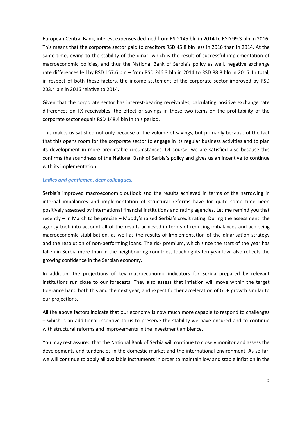European Central Bank, interest expenses declined from RSD 145 bln in 2014 to RSD 99.3 bln in 2016. This means that the corporate sector paid to creditors RSD 45.8 bln less in 2016 than in 2014. At the same time, owing to the stability of the dinar, which is the result of successful implementation of macroeconomic policies, and thus the National Bank of Serbia's policy as well, negative exchange rate differences fell by RSD 157.6 bln – from RSD 246.3 bln in 2014 to RSD 88.8 bln in 2016. In total, in respect of both these factors, the income statement of the corporate sector improved by RSD 203.4 bln in 2016 relative to 2014.

Given that the corporate sector has interest-bearing receivables, calculating positive exchange rate differences on FX receivables, the effect of savings in these two items on the profitability of the corporate sector equals RSD 148.4 bln in this period.

This makes us satisfied not only because of the volume of savings, but primarily because of the fact that this opens room for the corporate sector to engage in its regular business activities and to plan its development in more predictable circumstances. Of course, we are satisfied also because this confirms the soundness of the National Bank of Serbia's policy and gives us an incentive to continue with its implementation.

#### *Ladies and gentlemen, dear colleagues,*

Serbia's improved macroeconomic outlook and the results achieved in terms of the narrowing in internal imbalances and implementation of structural reforms have for quite some time been positively assessed by international financial institutions and rating agencies. Let me remind you that recently – in March to be precise – Moody's raised Serbia's credit rating. During the assessment, the agency took into account all of the results achieved in terms of reducing imbalances and achieving macroeconomic stabilisation, as well as the results of implementation of the dinarisation strategy and the resolution of non-performing loans. The risk premium, which since the start of the year has fallen in Serbia more than in the neighbouring countries, touching its ten-year low, also reflects the growing confidence in the Serbian economy.

In addition, the projections of key macroeconomic indicators for Serbia prepared by relevant institutions run close to our forecasts. They also assess that inflation will move within the target tolerance band both this and the next year, and expect further acceleration of GDP growth similar to our projections.

All the above factors indicate that our economy is now much more capable to respond to challenges – which is an additional incentive to us to preserve the stability we have ensured and to continue with structural reforms and improvements in the investment ambience.

You may rest assured that the National Bank of Serbia will continue to closely monitor and assess the developments and tendencies in the domestic market and the international environment. As so far, we will continue to apply all available instruments in order to maintain low and stable inflation in the